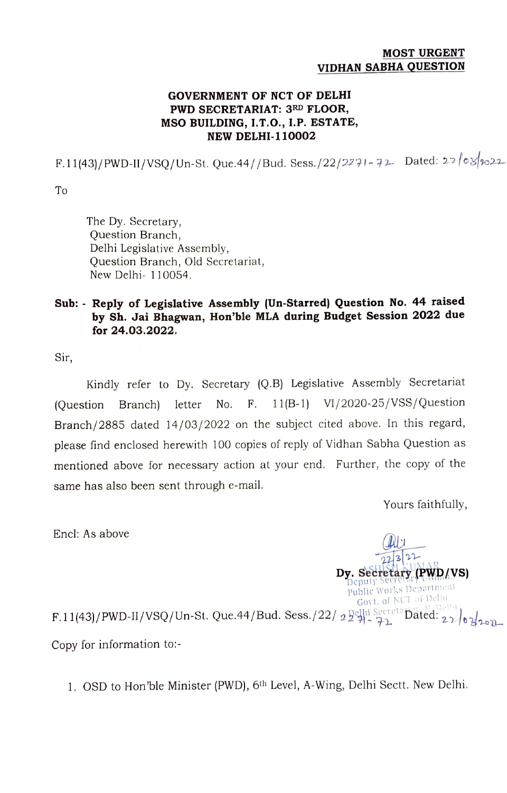## MOST URGENT VIDHAN SABHA QUESTION

## GOVERNMENT OF NCT OF DELHI PWD SECRETARIAT: 3RD FLOOR, MSO BUILDING, I.T.O., I.P. ESTATE, NEW DELHI-110002

F.11(43)/PWD-II/VSQ/Un-St. Que.44//Bud. Sess./22/2271-72 Dated: 22/03/1022

To

The Dy. Secretary, Question Branch, Delhi Legislative Assembly, Question Branch, Old Secretariat, New Delhi- 110054

## Sub: Reply of Legislative Assembly (Un-Starred) Question No. 44 raised by Sh. Jai Bhagwan, Hon'ble MLA during Budget Session 2022 due for 24.03.2022.

Sir,

Kindly refer to Dy. Secretary (Q.B) Legislative Assembly Secretariat (Question Branch) letter No. F. 11(B-1) V1/2020-25/VSs/Question Branch/2885 dated 14/03/2022 on the subject cited above. In this regard, please find enclosed herewith 100 copies of reply of Vidhan Sabha Question as mentioned above for necessary action at your end. Further, the copy of the same has also been sent through e-mail.

Yours faithfully,

 $223$ <sup>2</sup> $\mu$ <sub>KIMAR</sub> Dy. Secretary  $(PWD/VS)$ 

Encl: As above

Public Works Department Govt. of NCT of Delhi  $F.11(43)/PWD-II/VSQ/Un-St.$  Que.44/Bud. Sess./22/ 2 $2^{O(hi) \atop 2^{O(hi)}\rightarrow 2^{O(hi)}\rightarrow 2^{O(hi)}\rightarrow 0}$ Copy for information to:-

1. OSD to Hon'ble Minister (PWD), 6th Level, A-Wing, Delhi Sectt. New Delhi.